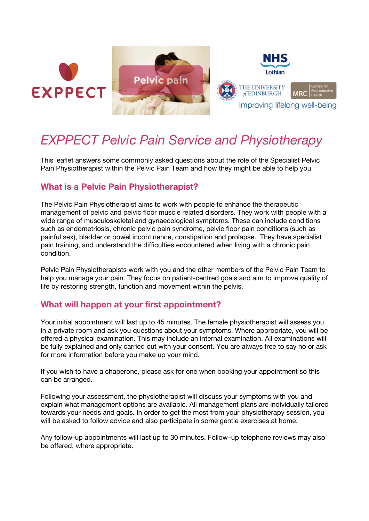





# *EXPPECT Pelvic Pain Service and Physiotherapy*

This leaflet answers some commonly asked questions about the role of the Specialist Pelvic Pain Physiotherapist within the Pelvic Pain Team and how they might be able to help you.

# **What is a Pelvic Pain Physiotherapist?**

The Pelvic Pain Physiotherapist aims to work with people to enhance the therapeutic management of pelvic and pelvic floor muscle related disorders. They work with people with a wide range of musculoskeletal and gynaecological symptoms. These can include conditions such as endometriosis, chronic pelvic pain syndrome, pelvic floor pain conditions (such as painful sex), bladder or bowel incontinence, constipation and prolapse. They have specialist pain training, and understand the difficulties encountered when living with a chronic pain condition.

Pelvic Pain Physiotherapists work with you and the other members of the Pelvic Pain Team to help you manage your pain. They focus on patient-centred goals and aim to improve quality of life by restoring strength, function and movement within the pelvis.

## **What will happen at your first appointment?**

Your initial appointment will last up to 45 minutes. The female physiotherapist will assess you in a private room and ask you questions about your symptoms. Where appropriate, you will be offered a physical examination. This may include an internal examination. All examinations will be fully explained and only carried out with your consent. You are always free to say no or ask for more information before you make up your mind.

If you wish to have a chaperone, please ask for one when booking your appointment so this can be arranged.

Following your assessment, the physiotherapist will discuss your symptoms with you and explain what management options are available. All management plans are individually tailored towards your needs and goals. In order to get the most from your physiotherapy session, you will be asked to follow advice and also participate in some gentle exercises at home.

Any follow-up appointments will last up to 30 minutes. Follow–up telephone reviews may also be offered, where appropriate.